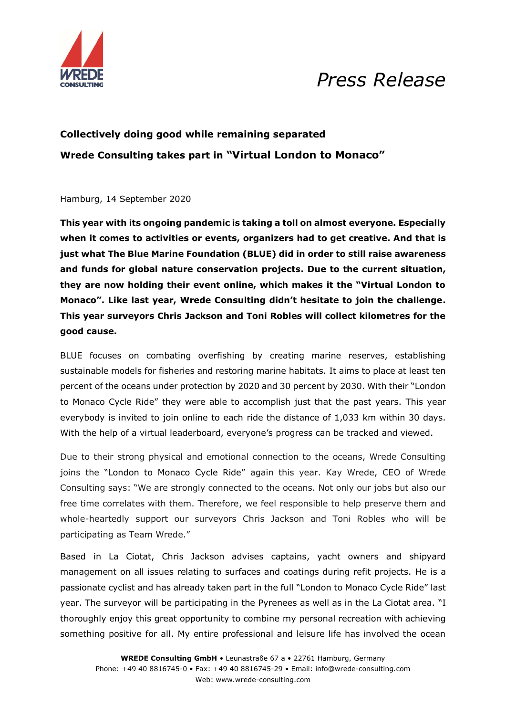

## *Press Release*

### **Collectively doing good while remaining separated Wrede Consulting takes part in "Virtual London to Monaco"**

Hamburg, 14 September 2020

**This year with its ongoing pandemic is taking a toll on almost everyone. Especially when it comes to activities or events, organizers had to get creative. And that is just what The Blue Marine Foundation (BLUE) did in order to still raise awareness and funds for global nature conservation projects. Due to the current situation, they are now holding their event online, which makes it the "Virtual London to Monaco". Like last year, Wrede Consulting didn't hesitate to join the challenge. This year surveyors Chris Jackson and Toni Robles will collect kilometres for the good cause.**

BLUE focuses on combating overfishing by creating marine reserves, establishing sustainable models for fisheries and restoring marine habitats. It aims to place at least ten percent of the oceans under protection by 2020 and 30 percent by 2030. With their "London to Monaco Cycle Ride" they were able to accomplish just that the past years. This year everybody is invited to join online to each ride the distance of 1,033 km within 30 days. With the help of a virtual leaderboard, everyone's progress can be tracked and viewed.

Due to their strong physical and emotional connection to the oceans, Wrede Consulting joins the "London to Monaco Cycle Ride" again this year. Kay Wrede, CEO of Wrede Consulting says: "We are strongly connected to the oceans. Not only our jobs but also our free time correlates with them. Therefore, we feel responsible to help preserve them and whole-heartedly support our surveyors Chris Jackson and Toni Robles who will be participating as Team Wrede."

Based in La Ciotat, Chris Jackson advises captains, yacht owners and shipyard management on all issues relating to surfaces and coatings during refit projects. He is a passionate cyclist and has already taken part in the full "London to Monaco Cycle Ride" last year. The surveyor will be participating in the Pyrenees as well as in the La Ciotat area. "I thoroughly enjoy this great opportunity to combine my personal recreation with achieving something positive for all. My entire professional and leisure life has involved the ocean